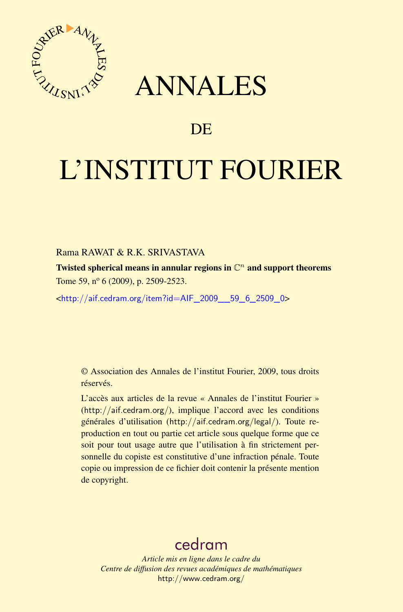

## ANNALES

## **DE**

# L'INSTITUT FOURIER

#### Rama RAWAT & R.K. SRIVASTAVA

Twisted spherical means in annular regions in  $\mathbb{C}^n$  and support theorems Tome 59, n<sup>o</sup> 6 (2009), p. 2509-2523.

<[http://aif.cedram.org/item?id=AIF\\_2009\\_\\_59\\_6\\_2509\\_0](http://aif.cedram.org/item?id=AIF_2009__59_6_2509_0)>

© Association des Annales de l'institut Fourier, 2009, tous droits réservés.

L'accès aux articles de la revue « Annales de l'institut Fourier » (<http://aif.cedram.org/>), implique l'accord avec les conditions générales d'utilisation (<http://aif.cedram.org/legal/>). Toute reproduction en tout ou partie cet article sous quelque forme que ce soit pour tout usage autre que l'utilisation à fin strictement personnelle du copiste est constitutive d'une infraction pénale. Toute copie ou impression de ce fichier doit contenir la présente mention de copyright.

## [cedram](http://www.cedram.org/)

*Article mis en ligne dans le cadre du Centre de diffusion des revues académiques de mathématiques* <http://www.cedram.org/>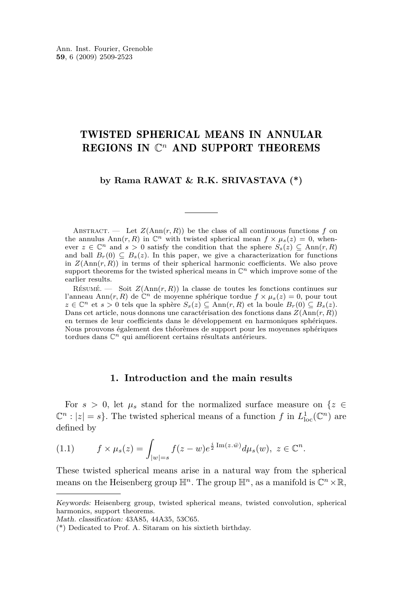### TWISTED SPHERICAL MEANS IN ANNULAR REGIONS IN  $\mathbb{C}^n$  AND SUPPORT THEOREMS

#### **by Rama RAWAT & R.K. SRIVASTAVA (\*)**

ABSTRACT. — Let  $Z(Ann(r, R))$  be the class of all continuous functions f on the annulus Ann $(r, R)$  in  $\mathbb{C}^n$  with twisted spherical mean  $f \times \mu_s(z) = 0$ , whenever  $z \in \mathbb{C}^n$  and  $s > 0$  satisfy the condition that the sphere  $S_s(z) \subseteq \text{Ann}(r, R)$ and ball  $B_r(0) \subseteq B_s(z)$ . In this paper, we give a characterization for functions in  $Z(\text{Ann}(r, R))$  in terms of their spherical harmonic coefficients. We also prove support theorems for the twisted spherical means in  $\mathbb{C}^n$  which improve some of the earlier results.

RÉSUMÉ. — Soit  $Z(Ann(r, R))$  la classe de toutes les fonctions continues sur l'anneau Ann $(r, R)$  de  $\mathbb{C}^n$  de moyenne sphérique tordue  $f \times \mu_s(z) = 0$ , pour tout *z* ∈  $\mathbb{C}^n$  et *s* > 0 tels que la sphère *S*<sub>*s*</sub>(*z*)  $\subseteq$  Ann(*r, R*) et la boule *B<sub>r</sub>*(0)  $\subseteq$  *B*<sub>*s*</sub>(*z*). Dans cet article, nous donnons une caractérisation des fonctions dans  $Z(\text{Ann}(r, R))$ en termes de leur coefficients dans le développement en harmoniques sphériques. Nous prouvons également des théorèmes de support pour les moyennes sphériques tordues dans C*<sup>n</sup>* qui améliorent certains résultats antérieurs.

#### **1. Introduction and the main results**

For  $s > 0$ , let  $\mu_s$  stand for the normalized surface measure on  $\{z \in$  $\mathbb{C}^n$  :  $|z| = s$ . The twisted spherical means of a function *f* in  $L^1_{loc}(\mathbb{C}^n)$  are defined by

$$
(1.1) \t f \times \mu_s(z) = \int_{|w|=s} f(z-w)e^{\frac{i}{2}\operatorname{Im}(z.\bar{w})}d\mu_s(w), \ z \in \mathbb{C}^n.
$$

These twisted spherical means arise in a natural way from the spherical means on the Heisenberg group  $\mathbb{H}^n$ . The group  $\mathbb{H}^n$ , as a manifold is  $\mathbb{C}^n \times \mathbb{R}$ ,

Keywords: Heisenberg group, twisted spherical means, twisted convolution, spherical harmonics, support theorems.

Math. classification: 43A85, 44A35, 53C65.

<sup>(\*)</sup> Dedicated to Prof. A. Sitaram on his sixtieth birthday.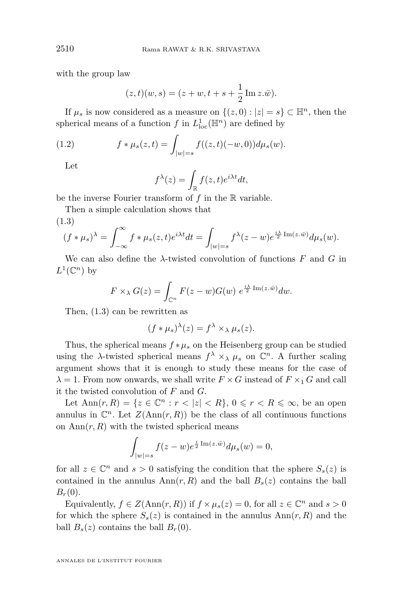with the group law

$$
(z,t)(w,s) = (z+w, t+s+\frac{1}{2}\text{Im }z.\bar{w}).
$$

If  $\mu_s$  is now considered as a measure on  $\{(z, 0) : |z| = s\} \subset \mathbb{H}^n$ , then the spherical means of a function  $f$  in  $L^1_{loc}(\mathbb{H}^n)$  are defined by

(1.2) 
$$
f * \mu_s(z, t) = \int_{|w| = s} f((z, t)(-w, 0)) d\mu_s(w).
$$

Let

$$
f^{\lambda}(z) = \int_{\mathbb{R}} f(z, t) e^{i\lambda t} dt,
$$

be the inverse Fourier transform of *f* in the R variable.

Then a simple calculation shows that

(1.3)

$$
(f * \mu_s)^{\lambda} = \int_{-\infty}^{\infty} f * \mu_s(z, t) e^{i\lambda t} dt = \int_{|w|=s} f^{\lambda}(z-w) e^{\frac{i\lambda}{2} \operatorname{Im}(z \cdot \bar{w})} d\mu_s(w).
$$

We can also define the  $\lambda$ -twisted convolution of functions  $F$  and  $G$  in  $L^1(\mathbb{C}^n)$  by

$$
F \times_{\lambda} G(z) = \int_{\mathbb{C}^n} F(z - w) G(w) e^{\frac{i\lambda}{2} \operatorname{Im}(z \cdot \bar{w})} dw.
$$

Then, (1.3) can be rewritten as

$$
(f * \mu_s)^\lambda(z) = f^\lambda \times_\lambda \mu_s(z).
$$

Thus, the spherical means  $f * \mu_s$  on the Heisenberg group can be studied using the *λ*-twisted spherical means  $f^{\lambda} \times_{\lambda} \mu_s$  on  $\mathbb{C}^n$ . A further scaling argument shows that it is enough to study these means for the case of  $\lambda = 1$ . From now onwards, we shall write  $F \times G$  instead of  $F \times T$  *G* and call it the twisted convolution of *F* and *G.*

Let  $\text{Ann}(r, R) = \{z \in \mathbb{C}^n : r < |z| < R\}, 0 \leqslant r < R \leqslant \infty$ , be an open annulus in  $\mathbb{C}^n$ . Let  $Z(\text{Ann}(r, R))$  be the class of all continuous functions on  $\text{Ann}(r, R)$  with the twisted spherical means

$$
\int_{|w|=s} f(z-w)e^{\frac{i}{2}\operatorname{Im}(z.\bar{w})}d\mu_s(w)=0,
$$

for all  $z \in \mathbb{C}^n$  and  $s > 0$  satisfying the condition that the sphere  $S_s(z)$  is contained in the annulus  $\text{Ann}(r, R)$  and the ball  $B_s(z)$  contains the ball  $B_r(0)$ .

Equivalently,  $f \in Z(\text{Ann}(r, R))$  if  $f \times \mu_s(z) = 0$ , for all  $z \in \mathbb{C}^n$  and  $s > 0$ for which the sphere  $S_s(z)$  is contained in the annulus  $Ann(r, R)$  and the ball  $B_s(z)$  contains the ball  $B_r(0)$ *.* 

<span id="page-2-0"></span>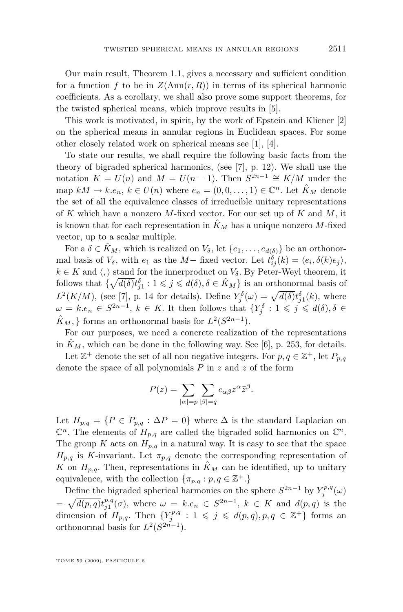Our main result, Theorem [1.1,](#page-4-0) gives a necessary and sufficient condition for a function  $f$  to be in  $Z(\text{Ann}(r, R))$  in terms of its spherical harmonic coefficients. As a corollary, we shall also prove some support theorems, for the twisted spherical means, which improve results in [\[5\]](#page-15-0).

This work is motivated, in spirit, by the work of Epstein and Kliener [\[2\]](#page-15-0) on the spherical means in annular regions in Euclidean spaces. For some other closely related work on spherical means see [\[1\]](#page-15-0), [\[4\]](#page-15-0).

To state our results, we shall require the following basic facts from the theory of bigraded spherical harmonics, (see [\[7\]](#page-15-0), p. 12). We shall use the notation  $K = U(n)$  and  $M = U(n-1)$ . Then  $S^{2n-1} \cong K/M$  under the map  $kM \to k.e_n$ ,  $k \in U(n)$  where  $e_n = (0, 0, \ldots, 1) \in \mathbb{C}^n$ . Let  $\hat{K}_M$  denote the set of all the equivalence classes of irreducible unitary representations of *K* which have a nonzero *M*-fixed vector. For our set up of *K* and *M*, it is known that for each representation in  $\hat{K}_M$  has a unique nonzero M-fixed vector, up to a scalar multiple.

For a  $\delta \in \hat{K}_M$ , which is realized on  $V_{\delta}$ , let  $\{e_1, \ldots, e_{d(\delta)}\}$  be an orthonormal basis of  $V_{\delta}$ , with  $e_1$  as the  $M-$  fixed vector. Let  $t_{ij}^{\delta}(k) = \langle e_i, \delta(k)e_j \rangle$ ,  $k \in K$  and  $\langle, \rangle$  stand for the innerproduct on  $V_{\delta}$ . By Peter-Weyl theorem, it follows that  $\{\sqrt{d(\delta)}t_{j1}^{\delta}: 1 \leq j \leq d(\delta), \delta \in \hat{K}_M\}$  is an orthonormal basis of  $L^2(K/M)$ , (see [\[7\]](#page-15-0), p. 14 for details). Define  $Y_j^{\delta}(\omega) = \sqrt{d(\delta)} t_{j1}^{\delta}(k)$ , where  $\omega = k.e_n \in S^{2n-1}, k \in K$ . It then follows that  $\{Y_j^{\delta}: 1 \leqslant j \leqslant d(\delta), \delta \in$  $\hat{K}_M$ ,  $\}$  forms an orthonormal basis for  $L^2(S^{2n-1})$ *.* 

For our purposes, we need a concrete realization of the representations in  $\hat{K}_M$ , which can be done in the following way. See [\[6\]](#page-15-0), p. 253, for details.

Let  $\mathbb{Z}^+$  denote the set of all non negative integers. For  $p, q \in \mathbb{Z}^+$ , let  $P_{p,q}$ denote the space of all polynomials  $P$  in  $z$  and  $\bar{z}$  of the form

$$
P(z) = \sum_{|\alpha| = p} \sum_{|\beta| = q} c_{\alpha\beta} z^{\alpha} \bar{z}^{\beta}.
$$

Let  $H_{p,q} = \{P \in P_{p,q} : \Delta P = 0\}$  where  $\Delta$  is the standard Laplacian on  $\mathbb{C}^n$ . The elements of  $H_{p,q}$  are called the bigraded solid harmonics on  $\mathbb{C}^n$ . The group *K* acts on  $H_{p,q}$  in a natural way. It is easy to see that the space  $H_{p,q}$  is *K*-invariant. Let  $\pi_{p,q}$  denote the corresponding representation of *K* on  $H_{p,q}$ . Then, representations in  $\hat{K}_M$  can be identified, up to unitary equivalence, with the collection  $\{\pi_{p,q}: p,q \in \mathbb{Z}^+\}$ .

Define the bigraded spherical harmonics on the sphere  $S^{2n-1}$  by  $Y_j^{p,q}(\omega)$  $=\sqrt{d(p,q)}t_{j1}^{p,q}(\sigma)$ , where  $\omega = k.e_n \in S^{2n-1}$ ,  $k \in K$  and  $d(p,q)$  is the dimension of  $H_{p,q}$ . Then  $\{Y_j^{p,q}: 1 \leqslant j \leqslant d(p,q), p,q \in \mathbb{Z}^+\}$  forms an orthonormal basis for  $L^2(S^{2n-1})$ *.*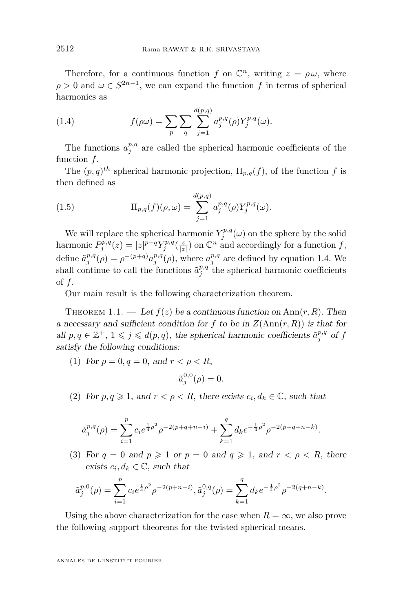<span id="page-4-0"></span>Therefore, for a continuous function *f* on  $\mathbb{C}^n$ , writing  $z = \rho \omega$ , where  $\rho > 0$  and  $\omega \in S^{2n-1}$ , we can expand the function *f* in terms of spherical harmonics as

(1.4) 
$$
f(\rho \omega) = \sum_{p} \sum_{q} \sum_{j=1}^{d(p,q)} a_j^{p,q}(\rho) Y_j^{p,q}(\omega).
$$

The functions  $a_j^{p,q}$  are called the spherical harmonic coefficients of the function *f*.

The  $(p, q)^{th}$  spherical harmonic projection,  $\Pi_{p,q}(f)$ , of the function *f* is then defined as

(1.5) 
$$
\Pi_{p,q}(f)(\rho,\omega) = \sum_{j=1}^{d(p,q)} a_j^{p,q}(\rho) Y_j^{p,q}(\omega).
$$

We will replace the spherical harmonic  $Y_j^{p,q}(\omega)$  on the sphere by the solid harmonic  $P_j^{p,q}(z) = |z|^{p+q} Y_j^{p,q}(\frac{z}{|z|})$  on  $\mathbb{C}^n$  and accordingly for a function *f*, define  $\tilde{a}_j^{p,q}(\rho) = \rho^{-(p+q)} a_j^{p,q}(\rho)$ , where  $a_j^{p,q}$  are defined by equation 1.4. We shall continue to call the functions  $\tilde{a}^{p,q}_j$  the spherical harmonic coefficients of *f.*

Our main result is the following characterization theorem.

THEOREM 1.1. — Let  $f(z)$  be a continuous function on Ann $(r, R)$ . Then a necessary and sufficient condition for  $f$  to be in  $Z(\text{Ann}(r, R))$  is that for all  $p, q \in \mathbb{Z}^+, 1 \leqslant j \leqslant d(p, q)$ , the spherical harmonic coefficients  $\tilde{a}_j^{p,q}$  of  $f$ satisfy the following conditions:

(1) For  $p = 0, q = 0$ , and  $r < \rho < R$ ,

$$
\tilde{a}_j^{0,0}(\rho) = 0.
$$

(2) For  $p, q \ge 1$ , and  $r < \rho < R$ , there exists  $c_i, d_k \in \mathbb{C}$ , such that

$$
\tilde{a}_j^{p,q}(\rho) = \sum_{i=1}^p c_i e^{\frac{1}{4}\rho^2} \rho^{-2(p+q+n-i)} + \sum_{k=1}^q d_k e^{-\frac{1}{4}\rho^2} \rho^{-2(p+q+n-k)}.
$$

(3) For  $q = 0$  and  $p \ge 1$  or  $p = 0$  and  $q \ge 1$ , and  $r < \rho < R$ , there exists  $c_i, d_k \in \mathbb{C}$ , such that

$$
\tilde{a}_j^{p,0}(\rho) = \sum_{i=1}^p c_i e^{\frac{1}{4}\rho^2} \rho^{-2(p+n-i)}, \tilde{a}_j^{0,q}(\rho) = \sum_{k=1}^q d_k e^{-\frac{1}{4}\rho^2} \rho^{-2(q+n-k)}.
$$

Using the above characterization for the case when  $R = \infty$ , we also prove the following support theorems for the twisted spherical means.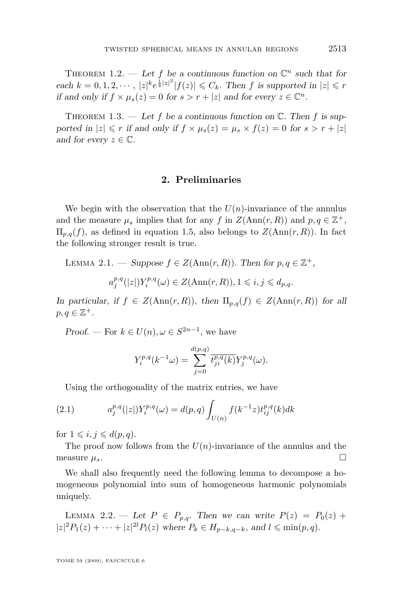<span id="page-5-0"></span>THEOREM 1.2. — Let f be a continuous function on  $\mathbb{C}^n$  such that for each  $k = 0, 1, 2, \dots$ ,  $|z|^k e^{\frac{1}{4}|z|^2} |f(z)| \leq C_k$ . Then f is supported in  $|z| \leq r$ if and only if  $f \times \mu_s(z) = 0$  for  $s > r + |z|$  and for every  $z \in \mathbb{C}^n$ .

THEOREM 1.3. — Let f be a continuous function on  $\mathbb{C}$ . Then f is supported in  $|z| \leq r$  if and only if  $f \times \mu_s(z) = \mu_s \times f(z) = 0$  for  $s > r + |z|$ and for every  $z \in \mathbb{C}$ .

#### **2. Preliminaries**

We begin with the observation that the  $U(n)$ -invariance of the annulus and the measure  $\mu_s$  implies that for any *f* in  $Z(\text{Ann}(r, R))$  and  $p, q \in \mathbb{Z}^+$ ,  $\Pi_{p,q}(f)$ , as defined in equation [1.5,](#page-4-0) also belongs to  $Z(\text{Ann}(r,R))$ . In fact the following stronger result is true.

LEMMA 2.1. — Suppose  $f \in Z(\text{Ann}(r, R))$ . Then for  $p, q \in \mathbb{Z}^+$ ,

$$
a_j^{p,q}(|z|)Y_i^{p,q}(\omega) \in Z(\text{Ann}(r,R)), 1 \leqslant i, j \leqslant d_{p,q}.
$$

In particular, if  $f \in Z(\text{Ann}(r, R))$ , then  $\Pi_{p,q}(f) \in Z(\text{Ann}(r, R))$  for all  $p, q \in \mathbb{Z}^+$ .

Proof. — For  $k \in U(n), \omega \in S^{2n-1}$ , we have

$$
Y_i^{p,q}(k^{-1}\omega) = \sum_{j=0}^{d(p,q)} \overline{t_{ji}^{p,q}(k)} Y_j^{p,q}(\omega).
$$

Using the orthogonality of the matrix entries, we have

(2.1) 
$$
a_j^{p,q}(|z|)Y_i^{p,q}(\omega) = d(p,q) \int_{U(n)} f(k^{-1}z) t_{ij}^{p,q}(k) dk
$$

for  $1 \leqslant i, j \leqslant d(p, q)$ .

The proof now follows from the  $U(n)$ -invariance of the annulus and the measure  $\mu_s$ .

We shall also frequently need the following lemma to decompose a homogeneous polynomial into sum of homogeneous harmonic polynomials uniquely.

LEMMA 2.2. — Let  $P \in P_{p,q}$ . Then we can write  $P(z) = P_0(z) +$  $|z|^2 P_1(z) + \cdots + |z|^{2l} P_l(z)$  where  $P_k \in H_{p-k,q-k}$ , and  $l \leq \min(p,q)$ .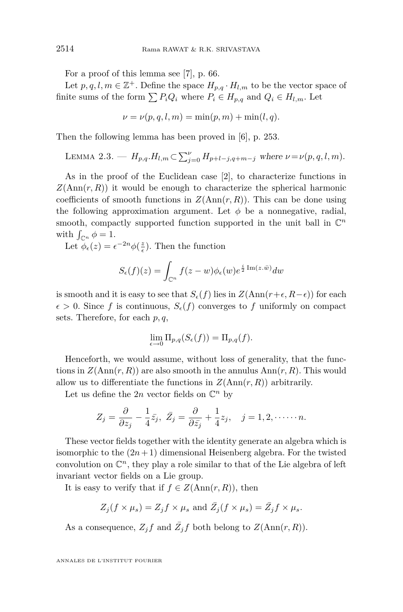<span id="page-6-0"></span>For a proof of this lemma see [\[7\]](#page-15-0), p. 66.

Let  $p, q, l, m \in \mathbb{Z}^+$ . Define the space  $H_{p,q} \cdot H_{l,m}$  to be the vector space of finite sums of the form  $\sum P_i Q_i$  where  $P_i \in H_{p,q}$  and  $Q_i \in H_{l,m}$ . Let

$$
\nu = \nu(p, q, l, m) = \min(p, m) + \min(l, q).
$$

Then the following lemma has been proved in [\[6\]](#page-15-0), p. 253.

LEMMA 2.3. 
$$
- H_{p,q}.H_{l,m} \subset \sum_{j=0}^{\nu} H_{p+l-j,q+m-j}
$$
 where  $\nu = \nu(p,q,l,m)$ .

As in the proof of the Euclidean case [\[2\]](#page-15-0), to characterize functions in  $Z(\text{Ann}(r, R))$  it would be enough to characterize the spherical harmonic coefficients of smooth functions in  $Z(\text{Ann}(r, R))$ . This can be done using the following approximation argument. Let  $\phi$  be a nonnegative, radial, smooth, compactly supported function supported in the unit ball in  $\mathbb{C}^n$ with  $\int_{\mathbb{C}^n} \phi = 1$ .

Let  $\phi_{\epsilon}(z) = \epsilon^{-2n} \phi(\frac{z}{\epsilon})$ . Then the function

$$
S_{\epsilon}(f)(z) = \int_{\mathbb{C}^n} f(z - w) \phi_{\epsilon}(w) e^{\frac{i}{2} \operatorname{Im}(z \cdot \bar{w})} dw
$$

is smooth and it is easy to see that  $S_{\epsilon}(f)$  lies in  $Z(\text{Ann}(r+\epsilon, R-\epsilon))$  for each  $\epsilon > 0$ . Since *f* is continuous,  $S_{\epsilon}(f)$  converges to *f* uniformly on compact sets. Therefore, for each *p, q*,

$$
\lim_{\epsilon \to 0} \Pi_{p,q}(S_{\epsilon}(f)) = \Pi_{p,q}(f).
$$

Henceforth, we would assume, without loss of generality, that the functions in  $Z(\text{Ann}(r, R))$  are also smooth in the annulus  $\text{Ann}(r, R)$ . This would allow us to differentiate the functions in  $Z(\text{Ann}(r, R))$  arbitrarily.

Let us define the 2*n* vector fields on  $\mathbb{C}^n$  by

$$
Z_j = \frac{\partial}{\partial z_j} - \frac{1}{4}\bar{z}_j, \ \bar{Z}_j = \frac{\partial}{\partial \bar{z}_j} + \frac{1}{4}z_j, \quad j = 1, 2, \dots \dots n.
$$

These vector fields together with the identity generate an algebra which is isomorphic to the  $(2n+1)$  dimensional Heisenberg algebra. For the twisted convolution on  $\mathbb{C}^n$ , they play a role similar to that of the Lie algebra of left invariant vector fields on a Lie group.

It is easy to verify that if  $f \in Z(\text{Ann}(r, R))$ , then

$$
Z_j(f \times \mu_s) = Z_j f \times \mu_s
$$
 and  $\bar{Z}_j(f \times \mu_s) = \bar{Z}_j f \times \mu_s$ .

As a consequence,  $Z_j f$  and  $\bar{Z_j} f$  both belong to  $Z(\text{Ann}(r, R))$ .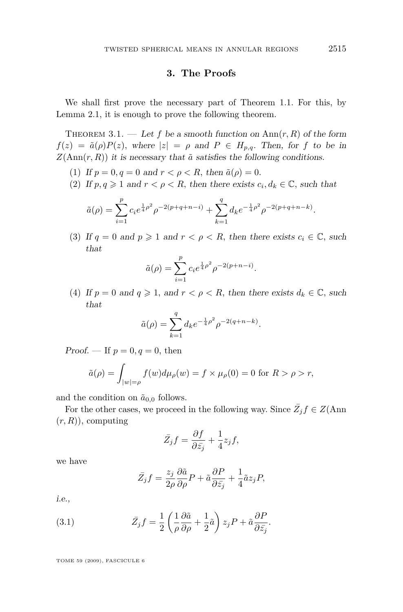#### **3. The Proofs**

We shall first prove the necessary part of Theorem [1.1.](#page-4-0) For this, by Lemma [2.1,](#page-5-0) it is enough to prove the following theorem.

THEOREM 3.1. — Let f be a smooth function on  $\text{Ann}(r, R)$  of the form  $f(z) = \tilde{a}(\rho)P(z)$ , where  $|z| = \rho$  and  $P \in H_{p,q}$ . Then, for *f* to be in  $Z(\text{Ann}(r, R))$  it is necessary that  $\tilde{a}$  satisfies the following conditions.

- (1) If  $p = 0, q = 0$  and  $r < \rho < R$ , then  $\tilde{a}(\rho) = 0$ .
- (2) If  $p, q \ge 1$  and  $r < \rho < R$ , then there exists  $c_i, d_k \in \mathbb{C}$ , such that

$$
\tilde{a}(\rho) = \sum_{i=1}^{p} c_i e^{\frac{1}{4}\rho^2} \rho^{-2(p+q+n-i)} + \sum_{k=1}^{q} d_k e^{-\frac{1}{4}\rho^2} \rho^{-2(p+q+n-k)}.
$$

(3) If  $q = 0$  and  $p \ge 1$  and  $r < \rho < R$ , then there exists  $c_i \in \mathbb{C}$ , such that

$$
\tilde{a}(\rho) = \sum_{i=1}^{p} c_i e^{\frac{1}{4}\rho^2} \rho^{-2(p+n-i)}.
$$

(4) If  $p = 0$  and  $q \ge 1$ , and  $r < \rho < R$ , then there exists  $d_k \in \mathbb{C}$ , such that

$$
\tilde{a}(\rho) = \sum_{k=1}^{q} d_k e^{-\frac{1}{4}\rho^2} \rho^{-2(q+n-k)}.
$$

Proof. — If  $p = 0, q = 0$ , then

$$
\tilde{a}(\rho) = \int_{|w| = \rho} f(w) d\mu_{\rho}(w) = f \times \mu_{\rho}(0) = 0 \text{ for } R > \rho > r,
$$

and the condition on  $\tilde{a}_{0,0}$  follows.

For the other cases, we proceed in the following way. Since  $\overline{Z_j} f \in Z(\text{Ann})$ (*r, R*)), computing

$$
\bar{Z_j}f = \frac{\partial f}{\partial \bar{z_j}} + \frac{1}{4}z_jf,
$$

we have

$$
\bar{Z}_j f = \frac{z_j}{2\rho} \frac{\partial \tilde{a}}{\partial \rho} P + \tilde{a} \frac{\partial P}{\partial \bar{z}_j} + \frac{1}{4} \tilde{a} z_j P,
$$

i.e.,

(3.1) 
$$
\bar{Z}_{j} f = \frac{1}{2} \left( \frac{1}{\rho} \frac{\partial \tilde{a}}{\partial \rho} + \frac{1}{2} \tilde{a} \right) z_{j} P + \tilde{a} \frac{\partial P}{\partial \bar{z}_{j}}.
$$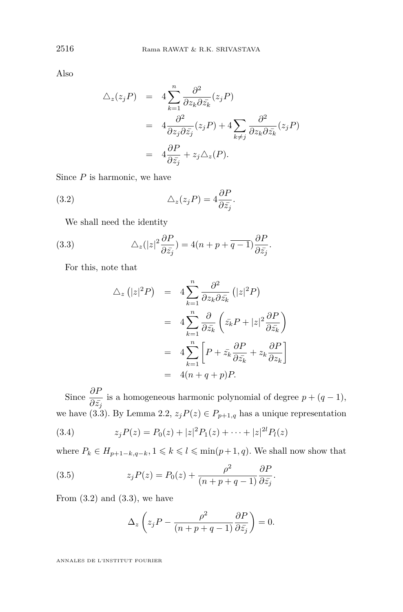Also

$$
\Delta_z(z_j P) = 4 \sum_{k=1}^n \frac{\partial^2}{\partial z_k \partial \bar{z}_k} (z_j P)
$$
  
= 
$$
4 \frac{\partial^2}{\partial z_j \partial \bar{z}_j} (z_j P) + 4 \sum_{k \neq j} \frac{\partial^2}{\partial z_k \partial \bar{z}_k} (z_j P)
$$
  
= 
$$
4 \frac{\partial P}{\partial \bar{z}_j} + z_j \Delta_z(P).
$$

Since *P* is harmonic, we have

(3.2) 
$$
\Delta_z(z_j P) = 4 \frac{\partial P}{\partial \bar{z}_j}.
$$

We shall need the identity

(3.3) 
$$
\Delta_z(|z|^2 \frac{\partial P}{\partial \bar{z}_j}) = 4(n+p+\overline{q-1}) \frac{\partial P}{\partial \bar{z}_j}.
$$

For this, note that

$$
\Delta_z (|z|^2 P) = 4 \sum_{k=1}^n \frac{\partial^2}{\partial z_k \partial \bar{z}_k} (|z|^2 P)
$$
  

$$
= 4 \sum_{k=1}^n \frac{\partial}{\partial \bar{z}_k} \left( \bar{z}_k P + |z|^2 \frac{\partial P}{\partial \bar{z}_k} \right)
$$
  

$$
= 4 \sum_{k=1}^n \left[ P + \bar{z}_k \frac{\partial P}{\partial \bar{z}_k} + z_k \frac{\partial P}{\partial z_k} \right]
$$
  

$$
= 4(n+q+p)P.
$$

Since  $\frac{\partial P}{\partial \bar{z}_j}$  is a homogeneous harmonic polynomial of degree  $p + (q - 1)$ , we have (3.3). By Lemma [2.2,](#page-5-0)  $z_j P(z) \in P_{p+1,q}$  has a unique representation

(3.4) 
$$
z_j P(z) = P_0(z) + |z|^2 P_1(z) + \dots + |z|^2 P_l(z)
$$

where  $P_k \in H_{p+1-k,q-k}, 1 \leq k \leq l \leq \min(p+1,q)$ . We shall now show that

(3.5) 
$$
z_j P(z) = P_0(z) + \frac{\rho^2}{(n+p+q-1)} \frac{\partial P}{\partial \bar{z}_j}.
$$

From  $(3.2)$  and  $(3.3)$ , we have

$$
\Delta_z \left( z_j P - \frac{\rho^2}{(n+p+q-1)} \frac{\partial P}{\partial \bar{z}_j} \right) = 0.
$$

<span id="page-8-0"></span>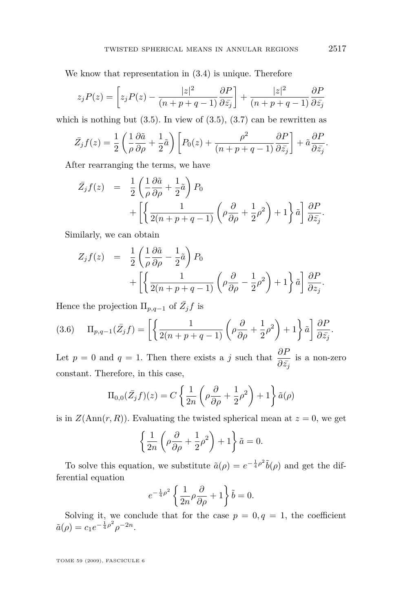We know that representation in [\(3.4\)](#page-8-0) is unique. Therefore

$$
z_j P(z) = \left[ z_j P(z) - \frac{|z|^2}{(n+p+q-1)} \frac{\partial P}{\partial \bar{z}_j} \right] + \frac{|z|^2}{(n+p+q-1)} \frac{\partial P}{\partial \bar{z}_j}
$$

which is nothing but  $(3.5)$ . In view of  $(3.5)$ ,  $(3.7)$  can be rewritten as

$$
\bar{Z}_j f(z) = \frac{1}{2} \left( \frac{1}{\rho} \frac{\partial \tilde{a}}{\partial \rho} + \frac{1}{2} \tilde{a} \right) \left[ P_0(z) + \frac{\rho^2}{(n+p+q-1)} \frac{\partial P}{\partial \bar{z}_j} \right] + \tilde{a} \frac{\partial P}{\partial \bar{z}_j}.
$$

After rearranging the terms, we have

$$
\bar{Z}_{j}f(z) = \frac{1}{2} \left( \frac{1}{\rho} \frac{\partial \tilde{a}}{\partial \rho} + \frac{1}{2} \tilde{a} \right) P_{0} \n+ \left[ \left\{ \frac{1}{2(n+p+q-1)} \left( \rho \frac{\partial}{\partial \rho} + \frac{1}{2} \rho^{2} \right) + 1 \right\} \tilde{a} \right] \frac{\partial P}{\partial \bar{z}_{j}}.
$$

Similarly, we can obtain

$$
Z_j f(z) = \frac{1}{2} \left( \frac{1}{\rho} \frac{\partial \tilde{a}}{\partial \rho} - \frac{1}{2} \tilde{a} \right) P_0 + \left[ \left\{ \frac{1}{2(n+p+q-1)} \left( \rho \frac{\partial}{\partial \rho} - \frac{1}{2} \rho^2 \right) + 1 \right\} \tilde{a} \right] \frac{\partial P}{\partial z_j}.
$$

Hence the projection  $\Pi_{p,q-1}$  of  $\overline{Z}_j f$  is

(3.6) 
$$
\Pi_{p,q-1}(\bar{Z}_j f) = \left[ \left\{ \frac{1}{2(n+p+q-1)} \left( \rho \frac{\partial}{\partial \rho} + \frac{1}{2} \rho^2 \right) + 1 \right\} \tilde{a} \right] \frac{\partial P}{\partial \bar{z}_j}.
$$

Let *p* = 0 and *q* = 1. Then there exists a *j* such that  $\frac{\partial P}{\partial \bar{z}_j}$  is a non-zero constant. Therefore, in this case,

$$
\Pi_{0,0}(\bar{Z}_j f)(z) = C \left\{ \frac{1}{2n} \left( \rho \frac{\partial}{\partial \rho} + \frac{1}{2} \rho^2 \right) + 1 \right\} \tilde{a}(\rho)
$$

is in  $Z(Ann(r, R))$ . Evaluating the twisted spherical mean at  $z = 0$ , we get

$$
\left\{\frac{1}{2n}\left(\rho\frac{\partial}{\partial\rho}+\frac{1}{2}\rho^2\right)+1\right\}\tilde{a}=0.
$$

To solve this equation, we substitute  $\tilde{a}(\rho) = e^{-\frac{1}{4}\rho^2}\tilde{b}(\rho)$  and get the differential equation

$$
e^{-\frac{1}{4}\rho^2} \left\{ \frac{1}{2n}\rho \frac{\partial}{\partial \rho} + 1 \right\} \tilde{b} = 0.
$$

Solving it, we conclude that for the case  $p = 0, q = 1$ , the coefficient  $\tilde{a}(\rho) = c_1 e^{-\frac{1}{4}\rho^2} \rho^{-2n}$ .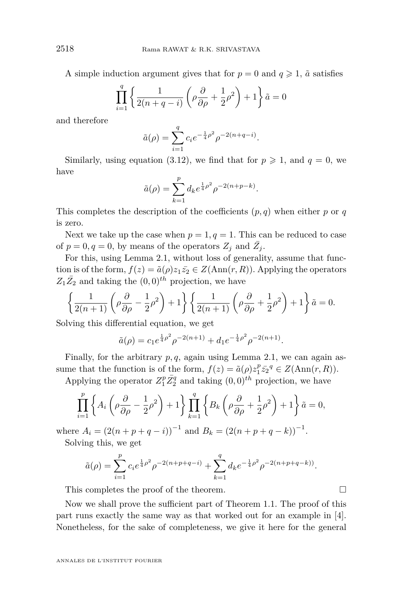A simple induction argument gives that for  $p = 0$  and  $q \ge 1$ ,  $\tilde{a}$  satisfies

$$
\prod_{i=1}^{q} \left\{ \frac{1}{2(n+q-i)} \left( \rho \frac{\partial}{\partial \rho} + \frac{1}{2} \rho^2 \right) + 1 \right\} \tilde{a} = 0
$$

and therefore

$$
\tilde{a}(\rho) = \sum_{i=1}^{q} c_i e^{-\frac{1}{4}\rho^2} \rho^{-2(n+q-i)}.
$$

Similarly, using equation (3.12), we find that for  $p \geq 1$ , and  $q = 0$ , we have

$$
\tilde{a}(\rho) = \sum_{k=1}^{p} d_k e^{\frac{1}{4}\rho^2} \rho^{-2(n+p-k)}.
$$

This completes the description of the coefficients  $(p, q)$  when either  $p$  or  $q$ is zero.

Next we take up the case when  $p = 1, q = 1$ . This can be reduced to case of  $p = 0, q = 0$ , by means of the operators  $Z_j$  and  $\overline{Z}_j$ .

For this, using Lemma [2.1,](#page-5-0) without loss of generality, assume that function is of the form,  $f(z) = \tilde{a}(\rho)z_1\bar{z_2} \in Z(\text{Ann}(r, R))$ . Applying the operators  $Z_1 \overline{Z_2}$  and taking the  $(0,0)^{th}$  projection, we have

$$
\left\{\frac{1}{2(n+1)}\left(\rho\frac{\partial}{\partial\rho}-\frac{1}{2}\rho^2\right)+1\right\}\left\{\frac{1}{2(n+1)}\left(\rho\frac{\partial}{\partial\rho}+\frac{1}{2}\rho^2\right)+1\right\}\tilde{a}=0.
$$

Solving this differential equation, we get

$$
\tilde{a}(\rho) = c_1 e^{\frac{1}{4}\rho^2} \rho^{-2(n+1)} + d_1 e^{-\frac{1}{4}\rho^2} \rho^{-2(n+1)}.
$$

Finally, for the arbitrary *p, q*, again using Lemma [2.1,](#page-5-0) we can again assume that the function is of the form,  $f(z) = \tilde{a}(\rho)z_1^p \bar{z_2}^q \in Z(\text{Ann}(r, R)).$ 

Applying the operator  $Z_1^p \bar{Z_2^q}$  and taking  $(0,0)^{th}$  projection, we have

$$
\prod_{i=1}^{p} \left\{ A_i \left( \rho \frac{\partial}{\partial \rho} - \frac{1}{2} \rho^2 \right) + 1 \right\} \prod_{k=1}^{q} \left\{ B_k \left( \rho \frac{\partial}{\partial \rho} + \frac{1}{2} \rho^2 \right) + 1 \right\} \tilde{a} = 0,
$$

where  $A_i = (2(n+p+q-i))^{-1}$  and  $B_k = (2(n+p+q-k))^{-1}$ . Solving this, we get

$$
\tilde{a}(\rho) = \sum_{i=1}^{p} c_i e^{\frac{1}{4}\rho^2} \rho^{-2(n+p+q-i)} + \sum_{k=1}^{q} d_k e^{-\frac{1}{4}\rho^2} \rho^{-2(n+p+q-k)}.
$$

This completes the proof of the theorem.

Now we shall prove the sufficient part of Theorem [1.1.](#page-4-0) The proof of this part runs exactly the same way as that worked out for an example in [\[4\]](#page-15-0). Nonetheless, for the sake of completeness, we give it here for the general

$$
\Box
$$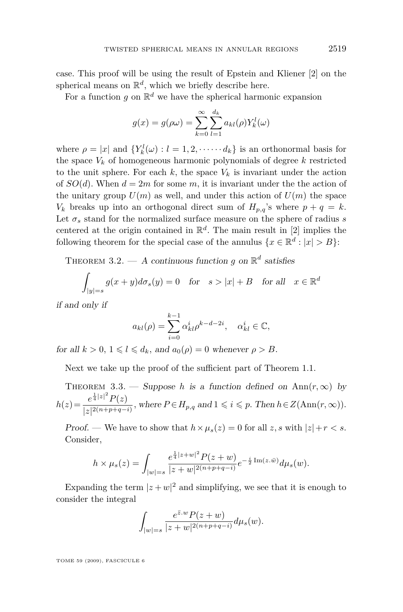<span id="page-11-0"></span>case. This proof will be using the result of Epstein and Kliener [\[2\]](#page-15-0) on the spherical means on  $\mathbb{R}^d$ , which we briefly describe here.

For a function  $g$  on  $\mathbb{R}^d$  we have the spherical harmonic expansion

$$
g(x) = g(\rho \omega) = \sum_{k=0}^{\infty} \sum_{l=1}^{d_k} a_{kl}(\rho) Y_k^l(\omega)
$$

where  $\rho = |x|$  and  $\{Y_k^l(\omega) : l = 1, 2, \dots, d_k\}$  is an orthonormal basis for the space  $V_k$  of homogeneous harmonic polynomials of degree  $k$  restricted to the unit sphere. For each  $k$ , the space  $V_k$  is invariant under the action of  $SO(d)$ . When  $d = 2m$  for some  $m$ , it is invariant under the the action of the unitary group  $U(m)$  as well, and under this action of  $U(m)$  the space  $V_k$  breaks up into an orthogonal direct sum of  $H_{p,q}$ 's where  $p + q = k$ . Let  $\sigma_s$  stand for the normalized surface measure on the sphere of radius  $s$ centered at the origin contained in  $\mathbb{R}^d$ . The main result in [\[2\]](#page-15-0) implies the following theorem for the special case of the annulus  $\{x \in \mathbb{R}^d : |x| > B\}$ :

THEOREM 3.2.  $-$  A continuous function *g* on  $\mathbb{R}^d$  satisfies

$$
\int_{|y|=s} g(x+y)d\sigma_s(y) = 0 \quad \text{for} \quad s > |x| + B \quad \text{for all} \quad x \in \mathbb{R}^d
$$

if and only if

$$
a_{kl}(\rho) = \sum_{i=0}^{k-1} \alpha_{kl}^i \rho^{k-d-2i}, \quad \alpha_{kl}^i \in \mathbb{C},
$$

for all  $k > 0$ ,  $1 \leq l \leq d_k$ , and  $a_0(\rho) = 0$  whenever  $\rho > B$ .

Next we take up the proof of the sufficient part of Theorem [1.1.](#page-4-0)

THEOREM 3.3. — Suppose *h* is a function defined on  $Ann(r, \infty)$  by  $h(z) = \frac{e^{\frac{1}{4}|z|^2}P(z)}{1-2(n+n+2)}$  $\frac{e^{4i(T)}F(z)}{|z|^{2(n+p+q-i)}},$  where  $P \in H_{p,q}$  and  $1 \leq i \leq p$ . Then  $h \in Z(\text{Ann}(r, \infty)).$ 

Proof. — We have to show that  $h \times \mu_s(z) = 0$  for all  $z, s$  with  $|z| + r < s$ . Consider,

$$
h \times \mu_s(z) = \int_{|w| = s} \frac{e^{\frac{1}{4}|z+w|^2} P(z+w)}{|z+w|^{2(n+p+q-i)}} e^{-\frac{i}{2} \operatorname{Im}(z \cdot \bar{w})} d\mu_s(w).
$$

Expanding the term  $|z+w|^2$  and simplifying, we see that it is enough to consider the integral

$$
\int_{|w|=s} \frac{e^{\bar{z}.w} P(z+w)}{|z+w|^{2(n+p+q-i)}} d\mu_s(w).
$$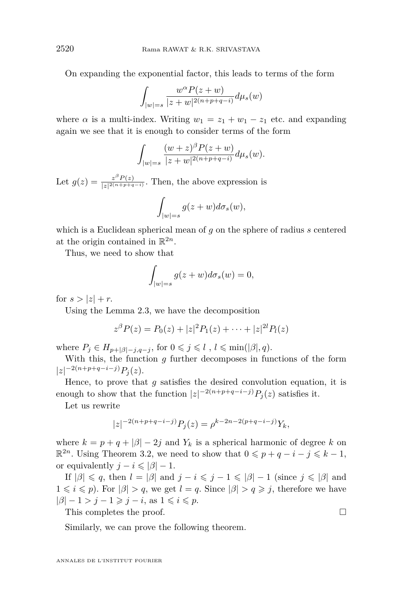<span id="page-12-0"></span>On expanding the exponential factor, this leads to terms of the form

$$
\int_{|w|=s} \frac{w^{\alpha} P(z+w)}{|z+w|^{2(n+p+q-i)}} d\mu_s(w)
$$

where  $\alpha$  is a multi-index. Writing  $w_1 = z_1 + w_1 - z_1$  etc. and expanding again we see that it is enough to consider terms of the form

$$
\int_{|w|=s} \frac{(w+z)^{\beta} P(z+w)}{|z+w|^{2(n+p+q-i)}} d\mu_s(w).
$$

Let  $g(z) = \frac{z^{\beta} P(z)}{|z|^{2(n+p+q)}}$  $\frac{z^2 F(z)}{|z|^{2(n+p+q-i)}}$ . Then, the above expression is

$$
\int_{|w|=s} g(z+w)d\sigma_s(w),
$$

which is a Euclidean spherical mean of *g* on the sphere of radius *s* centered at the origin contained in  $\mathbb{R}^{2n}$ .

Thus, we need to show that

$$
\int_{|w|=s} g(z+w)d\sigma_s(w) = 0,
$$

for  $s > |z| + r$ .

Using the Lemma [2.3,](#page-6-0) we have the decomposition

$$
z^{\beta}P(z) = P_0(z) + |z|^2 P_1(z) + \cdots + |z|^{2l} P_l(z)
$$

where  $P_j \in H_{p+|\beta|-j,q-j}$ , for  $0 \leq j \leq l$ ,  $l \leq \min(|\beta|, q)$ .

With this, the function *g* further decomposes in functions of the form *|z| <sup>−</sup>*2(*n*+*p*+*q−i−j*)*P<sup>j</sup>* (*z*).

Hence, to prove that *g* satisfies the desired convolution equation, it is enough to show that the function  $|z|^{-2(n+p+q-i-j)}P_j(z)$  satisfies it.

Let us rewrite

$$
|z|^{-2(n+p+q-i-j)}P_j(z) = \rho^{k-2n-2(p+q-i-j)}Y_k,
$$

where  $k = p + q + |\beta| - 2j$  and  $Y_k$  is a spherical harmonic of degree k on  $\mathbb{R}^{2n}$ . Using Theorem [3.2,](#page-11-0) we need to show that  $0 \leqslant p + q - i - j \leqslant k - 1$ , or equivalently  $j - i \leq \vert \beta \vert - 1$ .

If  $|\beta| \leq q$ , then  $l = |\beta|$  and  $j - i \leq j - 1 \leq |\beta| - 1$  (since  $j \leq |\beta|$  and  $1 \leq i \leq p$ . For  $|\beta| > q$ , we get  $l = q$ . Since  $|\beta| > q \geq j$ , therefore we have  $|\beta| - 1 > j - 1 \ge j - i$ , as  $1 \le i \le p$ .

This completes the proof.

Similarly, we can prove the following theorem.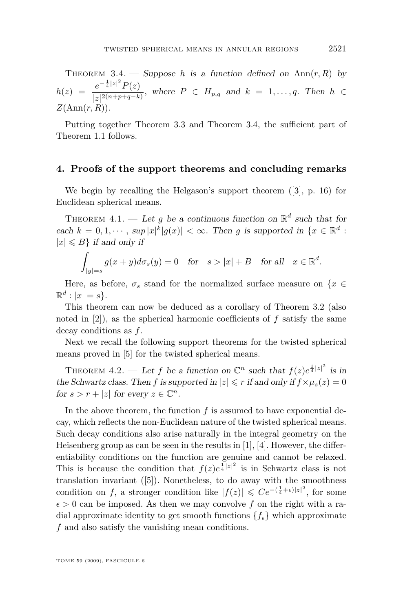THEOREM 3.4. — Suppose *h* is a function defined on  $\text{Ann}(r, R)$  by  $h(z) = \frac{e^{-\frac{1}{4}|z|^2}P(z)}{\ln(2(n+n+a-k))}$  $\frac{1}{|z|^{2(n+p+q-k)}},$  where  $P \in H_{p,q}$  and  $k = 1, ..., q$ . Then  $h \in$ *Z*(Ann(*r, R*))*.*

Putting together Theorem [3.3](#page-11-0) and Theorem [3.4,](#page-12-0) the sufficient part of Theorem [1.1](#page-4-0) follows.

#### **4. Proofs of the support theorems and concluding remarks**

We begin by recalling the Helgason's support theorem ([\[3\]](#page-15-0), p. 16) for Euclidean spherical means.

THEOREM 4.1. — Let g be a continuous function on  $\mathbb{R}^d$  such that for each  $k = 0, 1, \dots$ ,  $\sup |x|^k |g(x)| < \infty$ . Then g is supported in  $\{x \in \mathbb{R}^d :$  $|x| \le B$ *}* if and only if

$$
\int_{|y|=s} g(x+y)d\sigma_s(y) = 0 \quad \text{for} \quad s > |x| + B \quad \text{for all} \quad x \in \mathbb{R}^d.
$$

Here, as before,  $\sigma_s$  stand for the normalized surface measure on  $\{x \in$  $\mathbb{R}^d$  :  $|x| = s$ .

This theorem can now be deduced as a corollary of Theorem [3.2](#page-11-0) (also noted in [\[2\]](#page-15-0)), as the spherical harmonic coefficients of *f* satisfy the same decay conditions as *f*.

Next we recall the following support theorems for the twisted spherical means proved in [5] for the twisted spherical means.

THEOREM 4.2. — Let *f* be a function on  $\mathbb{C}^n$  such that  $f(z)e^{\frac{1}{4}|z|^2}$  is in the Schwartz class. Then *f* is supported in  $|z| \le r$  if and only if  $f \times \mu_s(z) = 0$ for  $s > r + |z|$  for every  $z \in \mathbb{C}^n$ .

In the above theorem, the function  $f$  is assumed to have exponential decay, which reflects the non-Euclidean nature of the twisted spherical means. Such decay conditions also arise naturally in the integral geometry on the Heisenberg group as can be seen in the results in  $[1]$ ,  $[4]$ . However, the differentiability conditions on the function are genuine and cannot be relaxed. This is because the condition that  $f(z)e^{\frac{1}{4}|z|^2}$  is in Schwartz class is not translation invariant ([\[5\]](#page-15-0)). Nonetheless, to do away with the smoothness condition on *f*, a stronger condition like  $|f(z)| \leqslant Ce^{-\left(\frac{1}{4} + \epsilon\right)|z|^2}$ , for some  $\epsilon > 0$  can be imposed. As then we may convolve f on the right with a radial approximate identity to get smooth functions  ${f_{\epsilon}}$  which approximate *f* and also satisfy the vanishing mean conditions.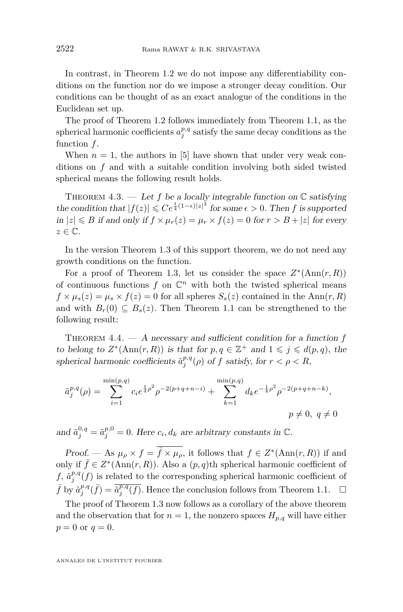In contrast, in Theorem [1.2](#page-4-0) we do not impose any differentiability conditions on the function nor do we impose a stronger decay condition. Our conditions can be thought of as an exact analogue of the conditions in the Euclidean set up.

The proof of Theorem [1.2](#page-4-0) follows immediately from Theorem [1.1,](#page-4-0) as the spherical harmonic coefficients  $a_j^{p,q}$  satisfy the same decay conditions as the function *f*.

When  $n = 1$ , the authors in [\[5\]](#page-15-0) have shown that under very weak conditions on *f* and with a suitable condition involving both sided twisted spherical means the following result holds.

THEOREM 4.3. — Let f be a locally integrable function on  $\mathbb C$  satisfying the condition that  $|f(z)| \leqslant Ce^{\frac{1}{4}(1-\epsilon)|z|^2}$  for some  $\epsilon > 0$ . Then *f* is supported  $\inf |z| \le B$  if and only if  $f \times \mu_r(z) = \mu_r \times f(z) = 0$  for  $r > B + |z|$  for every *z ∈* C.

In the version Theorem [1.3](#page-5-0) of this support theorem, we do not need any growth conditions on the function.

For a proof of Theorem [1.3,](#page-5-0) let us consider the space  $Z^*(\text{Ann}(r, R))$ of continuous functions  $f$  on  $\mathbb{C}^n$  with both the twisted spherical means  $f \times \mu_s(z) = \mu_s \times f(z) = 0$  for all spheres  $S_s(z)$  contained in the Ann $(r, R)$ and with  $B_r(0) \subseteq B_s(z)$ . Then Theorem [1.1](#page-4-0) can be strengthened to the following result:

THEOREM 4.4. — A necessary and sufficient condition for a function f to belong to  $Z^*(\text{Ann}(r, R))$  is that for  $p, q \in \mathbb{Z}^+$  and  $1 \leqslant j \leqslant d(p, q)$ , the spherical harmonic coefficients  $\tilde{a}^{p,q}_j(\rho)$  of *f* satisfy, for  $r < \rho < R$ ,

$$
\tilde{a}_j^{p,q}(\rho) = \sum_{i=1}^{\min(p,q)} c_i e^{\frac{1}{4}\rho^2} \rho^{-2(p+q+n-i)} + \sum_{k=1}^{\min(p,q)} d_k e^{-\frac{1}{4}\rho^2} \rho^{-2(p+q+n-k)},
$$
  

$$
p \neq 0, q \neq 0
$$

and  $\tilde{a}_j^{0,q} = \tilde{a}_j^{p,0} = 0$ . Here  $c_i, d_k$  are arbitrary constants in  $\mathbb{C}$ .

Proof. — As  $\mu_{\rho} \times f = \overline{f} \times \mu_{\rho}$ , it follows that  $f \in Z^*(\text{Ann}(r,R))$  if and only if  $\bar{f}$  ∈  $Z^*(\text{Ann}(r, R))$ . Also a  $(p, q)$ th spherical harmonic coefficient of f,  $\tilde{a}^{p,q}_{j}(f)$  is related to the corresponding spherical harmonic coefficient of  $\bar{f}$  by  $\tilde{a}^{p,q}_{j}(\bar{f}) = \overline{\tilde{a}^{p,q}_{j}(f)}$ . Hence the conclusion follows from Theorem [1.1.](#page-4-0)  $\Box$ 

The proof of Theorem [1.3](#page-5-0) now follows as a corollary of the above theorem and the observation that for  $n = 1$ , the nonzero spaces  $H_{p,q}$  will have either  $p = 0$  or  $q = 0$ *.*